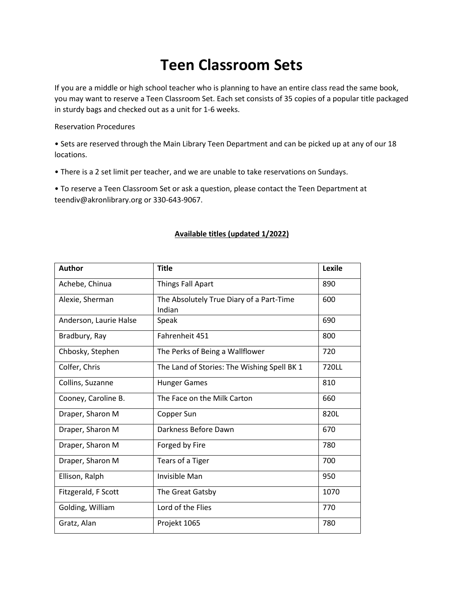## **Teen Classroom Sets**

If you are a middle or high school teacher who is planning to have an entire class read the same book, you may want to reserve a Teen Classroom Set. Each set consists of 35 copies of a popular title packaged in sturdy bags and checked out as a unit for 1-6 weeks.

Reservation Procedures

• Sets are reserved through the Main Library Teen Department and can be picked up at any of our 18 locations.

• There is a 2 set limit per teacher, and we are unable to take reservations on Sundays.

• To reserve a Teen Classroom Set or ask a question, please contact the Teen Department at teendiv@akronlibrary.org or 330-643-9067.

## **Available titles (updated 1/2022)**

| <b>Author</b>          | <b>Title</b>                                       | Lexile |
|------------------------|----------------------------------------------------|--------|
| Achebe, Chinua         | <b>Things Fall Apart</b>                           | 890    |
| Alexie, Sherman        | The Absolutely True Diary of a Part-Time<br>Indian | 600    |
| Anderson, Laurie Halse | Speak                                              | 690    |
| Bradbury, Ray          | Fahrenheit 451                                     | 800    |
| Chbosky, Stephen       | The Perks of Being a Wallflower                    | 720    |
| Colfer, Chris          | The Land of Stories: The Wishing Spell BK 1        | 720LL  |
| Collins, Suzanne       | <b>Hunger Games</b>                                | 810    |
| Cooney, Caroline B.    | The Face on the Milk Carton                        | 660    |
| Draper, Sharon M       | Copper Sun                                         | 820L   |
| Draper, Sharon M       | Darkness Before Dawn                               | 670    |
| Draper, Sharon M       | Forged by Fire                                     | 780    |
| Draper, Sharon M       | Tears of a Tiger                                   | 700    |
| Ellison, Ralph         | Invisible Man                                      | 950    |
| Fitzgerald, F Scott    | The Great Gatsby                                   | 1070   |
| Golding, William       | Lord of the Flies                                  | 770    |
| Gratz, Alan            | Projekt 1065                                       | 780    |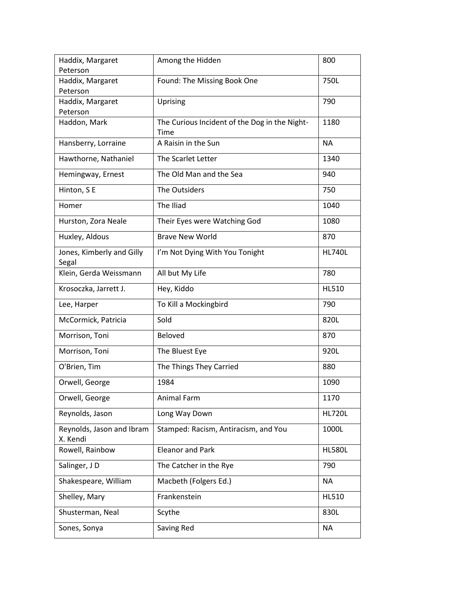| Haddix, Margaret                      | Among the Hidden                                      | 800           |
|---------------------------------------|-------------------------------------------------------|---------------|
| Peterson                              |                                                       |               |
| Haddix, Margaret                      | Found: The Missing Book One                           | 750L          |
| Peterson                              |                                                       |               |
| Haddix, Margaret                      | Uprising                                              | 790           |
| Peterson                              |                                                       |               |
| Haddon, Mark                          | The Curious Incident of the Dog in the Night-<br>Time | 1180          |
| Hansberry, Lorraine                   | A Raisin in the Sun                                   | <b>NA</b>     |
| Hawthorne, Nathaniel                  | The Scarlet Letter                                    | 1340          |
| Hemingway, Ernest                     | The Old Man and the Sea                               | 940           |
| Hinton, SE                            | The Outsiders                                         | 750           |
| Homer                                 | The Iliad                                             | 1040          |
| Hurston, Zora Neale                   | Their Eyes were Watching God                          | 1080          |
| Huxley, Aldous                        | <b>Brave New World</b>                                | 870           |
| Jones, Kimberly and Gilly<br>Segal    | I'm Not Dying With You Tonight                        | <b>HL740L</b> |
| Klein, Gerda Weissmann                | All but My Life                                       | 780           |
| Krosoczka, Jarrett J.                 | Hey, Kiddo                                            | <b>HL510</b>  |
| Lee, Harper                           | To Kill a Mockingbird                                 | 790           |
| McCormick, Patricia                   | Sold                                                  | 820L          |
| Morrison, Toni                        | Beloved                                               | 870           |
| Morrison, Toni                        | The Bluest Eye                                        | 920L          |
| O'Brien, Tim                          | The Things They Carried                               | 880           |
| Orwell, George                        | 1984                                                  | 1090          |
| Orwell, George                        | Animal Farm                                           | 1170          |
| Reynolds, Jason                       | Long Way Down                                         | <b>HL720L</b> |
| Reynolds, Jason and Ibram<br>X. Kendi | Stamped: Racism, Antiracism, and You                  | 1000L         |
| Rowell, Rainbow                       | <b>Eleanor and Park</b>                               | <b>HL580L</b> |
| Salinger, JD                          | The Catcher in the Rye                                | 790           |
| Shakespeare, William                  | Macbeth (Folgers Ed.)                                 | NA            |
| Shelley, Mary                         | Frankenstein                                          | <b>HL510</b>  |
| Shusterman, Neal                      | Scythe                                                | 830L          |
| Sones, Sonya                          | Saving Red                                            | NA            |